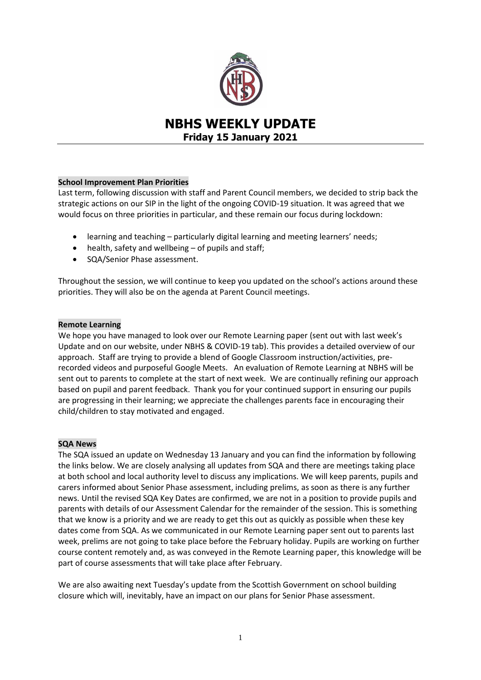

# **NBHS WEEKLY UPDATE Friday 15 January 2021**

# **School Improvement Plan Priorities**

Last term, following discussion with staff and Parent Council members, we decided to strip back the strategic actions on our SIP in the light of the ongoing COVID-19 situation. It was agreed that we would focus on three priorities in particular, and these remain our focus during lockdown:

- learning and teaching particularly digital learning and meeting learners' needs;
- health, safety and wellbeing of pupils and staff;
- SQA/Senior Phase assessment.

Throughout the session, we will continue to keep you updated on the school's actions around these priorities. They will also be on the agenda at Parent Council meetings.

# **Remote Learning**

We hope you have managed to look over our Remote Learning paper (sent out with last week's Update and on our website, under NBHS & COVID-19 tab). This provides a detailed overview of our approach. Staff are trying to provide a blend of Google Classroom instruction/activities, prerecorded videos and purposeful Google Meets. An evaluation of Remote Learning at NBHS will be sent out to parents to complete at the start of next week. We are continually refining our approach based on pupil and parent feedback. Thank you for your continued support in ensuring our pupils are progressing in their learning; we appreciate the challenges parents face in encouraging their child/children to stay motivated and engaged.

# **SQA News**

The SQA issued an update on Wednesday 13 January and you can find the information by following the links below. We are closely analysing all updates from SQA and there are meetings taking place at both school and local authority level to discuss any implications. We will keep parents, pupils and carers informed about Senior Phase assessment, including prelims, as soon as there is any further news. Until the revised SQA Key Dates are confirmed, we are not in a position to provide pupils and parents with details of our Assessment Calendar for the remainder of the session. This is something that we know is a priority and we are ready to get this out as quickly as possible when these key dates come from SQA. As we communicated in our Remote Learning paper sent out to parents last week, prelims are not going to take place before the February holiday. Pupils are working on further course content remotely and, as was conveyed in the Remote Learning paper, this knowledge will be part of course assessments that will take place after February.

We are also awaiting next Tuesday's update from the Scottish Government on school building closure which will, inevitably, have an impact on our plans for Senior Phase assessment.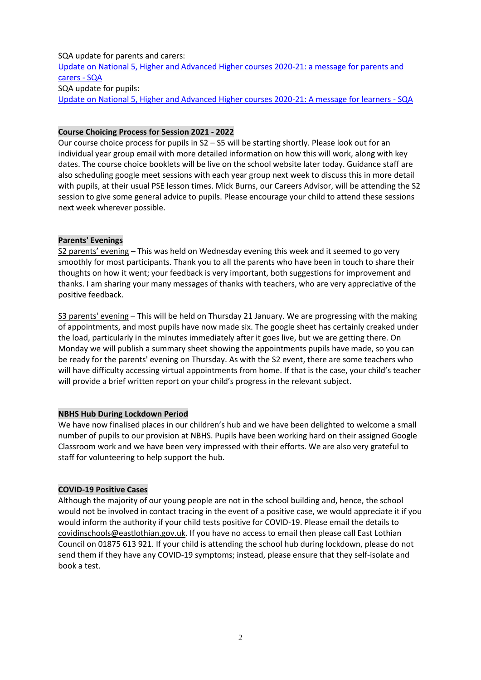SQA update for parents and carers: [Update on National 5, Higher and Advanced Higher courses 2020-21: a message for parents and](https://www.sqa.org.uk/sqa/96380.html?mkt_tok=eyJpIjoiTWpnNFpUY3hNemt6WmpGaCIsInQiOiJmdGpEYVlVK3ZOa0FjdnFoSjhqVm9hMHU0NUZOMEVOUXJqR0lrWnVzRVNkUzk0d1wvTGRNcFd6N2xQckxNd0pLVlg2VWR5VDJKVVp6dFdqZDNRWjVZSUh6blhxYlNTSGl1MkFFQnBDdkxHaDg0Q3FnZ0kyWFwvUm4xMXRhZzFDdjlvIn0%3D)  [carers -](https://www.sqa.org.uk/sqa/96380.html?mkt_tok=eyJpIjoiTWpnNFpUY3hNemt6WmpGaCIsInQiOiJmdGpEYVlVK3ZOa0FjdnFoSjhqVm9hMHU0NUZOMEVOUXJqR0lrWnVzRVNkUzk0d1wvTGRNcFd6N2xQckxNd0pLVlg2VWR5VDJKVVp6dFdqZDNRWjVZSUh6blhxYlNTSGl1MkFFQnBDdkxHaDg0Q3FnZ0kyWFwvUm4xMXRhZzFDdjlvIn0%3D) SQA SQA update for pupils: [Update on National 5, Higher and Advanced Higher courses 2020-21: A message for learners -](https://www.sqa.org.uk/sqa/96382.html?mkt_tok=eyJpIjoiTWpnNFpUY3hNemt6WmpGaCIsInQiOiJmdGpEYVlVK3ZOa0FjdnFoSjhqVm9hMHU0NUZOMEVOUXJqR0lrWnVzRVNkUzk0d1wvTGRNcFd6N2xQckxNd0pLVlg2VWR5VDJKVVp6dFdqZDNRWjVZSUh6blhxYlNTSGl1MkFFQnBDdkxHaDg0Q3FnZ0kyWFwvUm4xMXRhZzFDdjlvIn0%3D) SQA

# **Course Choicing Process for Session 2021 - 2022**

Our course choice process for pupils in S2 – S5 will be starting shortly. Please look out for an individual year group email with more detailed information on how this will work, along with key dates. The course choice booklets will be live on the school website later today. Guidance staff are also scheduling google meet sessions with each year group next week to discuss this in more detail with pupils, at their usual PSE lesson times. Mick Burns, our Careers Advisor, will be attending the S2 session to give some general advice to pupils. Please encourage your child to attend these sessions next week wherever possible.

# **Parents' Evenings**

S2 parents' evening – This was held on Wednesday evening this week and it seemed to go very smoothly for most participants. Thank you to all the parents who have been in touch to share their thoughts on how it went; your feedback is very important, both suggestions for improvement and thanks. I am sharing your many messages of thanks with teachers, who are very appreciative of the positive feedback.

S3 parents' evening – This will be held on Thursday 21 January. We are progressing with the making of appointments, and most pupils have now made six. The google sheet has certainly creaked under the load, particularly in the minutes immediately after it goes live, but we are getting there. On Monday we will publish a summary sheet showing the appointments pupils have made, so you can be ready for the parents' evening on Thursday. As with the S2 event, there are some teachers who will have difficulty accessing virtual appointments from home. If that is the case, your child's teacher will provide a brief written report on your child's progress in the relevant subject.

# **NBHS Hub During Lockdown Period**

We have now finalised places in our children's hub and we have been delighted to welcome a small number of pupils to our provision at NBHS. Pupils have been working hard on their assigned Google Classroom work and we have been very impressed with their efforts. We are also very grateful to staff for volunteering to help support the hub.

# **COVID-19 Positive Cases**

Although the majority of our young people are not in the school building and, hence, the school would not be involved in contact tracing in the event of a positive case, we would appreciate it if you would inform the authority if your child tests positive for COVID-19. Please email the details to [covidinschools@eastlothian.gov.uk.](mailto:covidinschools@eastlothian.gov.uk) If you have no access to email then please call East Lothian Council on 01875 613 921. If your child is attending the school hub during lockdown, please do not send them if they have any COVID-19 symptoms; instead, please ensure that they self-isolate and book a test.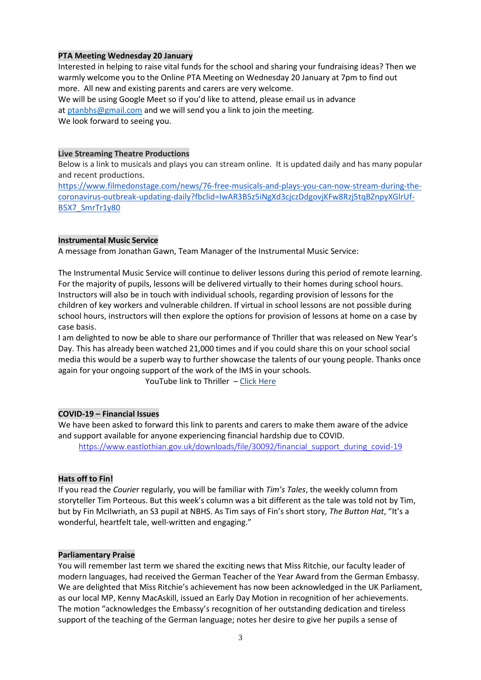# **PTA Meeting Wednesday 20 January**

Interested in helping to raise vital funds for the school and sharing your fundraising ideas? Then we warmly welcome you to the Online PTA Meeting on Wednesday 20 January at 7pm to find out more. All new and existing parents and carers are very welcome. We will be using Google Meet so if you'd like to attend, please email us in advance at [ptanbhs@gmail.com](mailto:ptanbhs@gmail.com) and we will send you a link to join the meeting. We look forward to seeing you.

# **Live Streaming Theatre Productions**

Below is a link to musicals and plays you can stream online. It is updated daily and has many popular and recent productions.

[https://www.filmedonstage.com/news/76-free-musicals-and-plays-you-can-now-stream-during-the](https://www.filmedonstage.com/news/76-free-musicals-and-plays-you-can-now-stream-during-the-coronavirus-outbreak-updating-daily?fbclid=IwAR3B5z5iNgXd3cjczDdgovjKFw8Rzj5tqBZnpyXGlrUf-B5X7_SmrTr1y80)[coronavirus-outbreak-updating-daily?fbclid=IwAR3B5z5iNgXd3cjczDdgovjKFw8Rzj5tqBZnpyXGlrUf-](https://www.filmedonstage.com/news/76-free-musicals-and-plays-you-can-now-stream-during-the-coronavirus-outbreak-updating-daily?fbclid=IwAR3B5z5iNgXd3cjczDdgovjKFw8Rzj5tqBZnpyXGlrUf-B5X7_SmrTr1y80)[B5X7\\_SmrTr1y80](https://www.filmedonstage.com/news/76-free-musicals-and-plays-you-can-now-stream-during-the-coronavirus-outbreak-updating-daily?fbclid=IwAR3B5z5iNgXd3cjczDdgovjKFw8Rzj5tqBZnpyXGlrUf-B5X7_SmrTr1y80)

#### **Instrumental Music Service**

A message from Jonathan Gawn, Team Manager of the Instrumental Music Service:

The Instrumental Music Service will continue to deliver lessons during this period of remote learning. For the majority of pupils, lessons will be delivered virtually to their homes during school hours. Instructors will also be in touch with individual schools, regarding provision of lessons for the children of key workers and vulnerable children. If virtual in school lessons are not possible during school hours, instructors will then explore the options for provision of lessons at home on a case by case basis.

I am delighted to now be able to share our performance of Thriller that was released on New Year's Day. This has already been watched 21,000 times and if you could share this on your school social media this would be a superb way to further showcase the talents of our young people. Thanks once again for your ongoing support of the work of the IMS in your schools.

YouTube link to Thriller – [Click Here](https://youtu.be/SXuhAfXpUOk)

# **COVID-19 – Financial Issues**

We have been asked to forward this link to parents and carers to make them aware of the advice and support available for anyone experiencing financial hardship due to COVID. [https://www.eastlothian.gov.uk/downloads/file/30092/financial\\_support\\_during\\_covid-19](https://www.eastlothian.gov.uk/downloads/file/30092/financial_support_during_covid-19)

# **Hats off to Fin!**

If you read the *Courie*r regularly, you will be familiar with *Tim's Tales*, the weekly column from storyteller Tim Porteous. But this week's column was a bit different as the tale was told not by Tim, but by Fin McIlwriath, an S3 pupil at NBHS. As Tim says of Fin's short story, *The Button Hat*, "It's a wonderful, heartfelt tale, well-written and engaging."

#### **Parliamentary Praise**

You will remember last term we shared the exciting news that Miss Ritchie, our faculty leader of modern languages, had received the German Teacher of the Year Award from the German Embassy. We are delighted that Miss Ritchie's achievement has now been acknowledged in the UK Parliament, as our local MP, Kenny MacAskill, issued an Early Day Motion in recognition of her achievements. The motion "acknowledges the Embassy's recognition of her outstanding dedication and tireless support of the teaching of the German language; notes her desire to give her pupils a sense of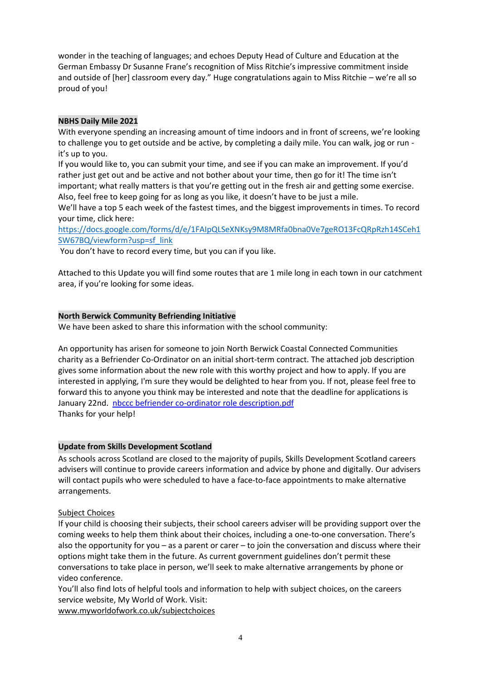wonder in the teaching of languages; and echoes Deputy Head of Culture and Education at the German Embassy Dr Susanne Frane's recognition of Miss Ritchie's impressive commitment inside and outside of [her] classroom every day." Huge congratulations again to Miss Ritchie – we're all so proud of you!

# **NBHS Daily Mile 2021**

With everyone spending an increasing amount of time indoors and in front of screens, we're looking to challenge you to get outside and be active, by completing a daily mile. You can walk, jog or run it's up to you.

If you would like to, you can submit your time, and see if you can make an improvement. If you'd rather just get out and be active and not bother about your time, then go for it! The time isn't important; what really matters is that you're getting out in the fresh air and getting some exercise. Also, feel free to keep going for as long as you like, it doesn't have to be just a mile.

We'll have a top 5 each week of the fastest times, and the biggest improvements in times. To record your time, click here:

[https://docs.google.com/forms/d/e/1FAIpQLSeXNKsy9M8MRfa0bna0Ve7geRO13FcQRpRzh14SCeh1](https://docs.google.com/forms/d/e/1FAIpQLSeXNKsy9M8MRfa0bna0Ve7geRO13FcQRpRzh14SCeh1SW67BQ/viewform?usp=sf_link) [SW67BQ/viewform?usp=sf\\_link](https://docs.google.com/forms/d/e/1FAIpQLSeXNKsy9M8MRfa0bna0Ve7geRO13FcQRpRzh14SCeh1SW67BQ/viewform?usp=sf_link)

You don't have to record every time, but you can if you like.

Attached to this Update you will find some routes that are 1 mile long in each town in our catchment area, if you're looking for some ideas.

# **North Berwick Community Befriending Initiative**

We have been asked to share this information with the school community:

An opportunity has arisen for someone to join North Berwick Coastal Connected Communities charity as a Befriender Co-Ordinator on an initial short-term contract. The attached job description gives some information about the new role with this worthy project and how to apply. If you are interested in applying, I'm sure they would be delighted to hear from you. If not, please feel free to forward this to anyone you think may be interested and note that the deadline for applications is January 22nd. [nbccc befriender co-ordinator role description.pdf](file:///C:/Users/nbrodgl/AppData/Local/Microsoft/Windows/INetCache/Content.Outlook/B2EZQH4U/nbccc%20befriender%20co-ordinator%20role%20description.pdf) Thanks for your help!

# **Update from Skills Development Scotland**

As schools across Scotland are closed to the majority of pupils, Skills Development Scotland careers advisers will continue to provide careers information and advice by phone and digitally. Our advisers will contact pupils who were scheduled to have a face-to-face appointments to make alternative arrangements.

# Subject Choices

If your child is choosing their subjects, their school careers adviser will be providing support over the coming weeks to help them think about their choices, including a one-to-one conversation. There's also the opportunity for you – as a parent or carer – to join the conversation and discuss where their options might take them in the future. As current government guidelines don't permit these conversations to take place in person, we'll seek to make alternative arrangements by phone or video conference.

You'll also find lots of helpful tools and information to help with subject choices, on the careers service website, My World of Work. Visit:

[www.myworldofwork.co.uk/subjectchoices](https://skillsdevelopmentscotland.cmail19.com/t/r-l-juklwhk-odkirykidy-b/)